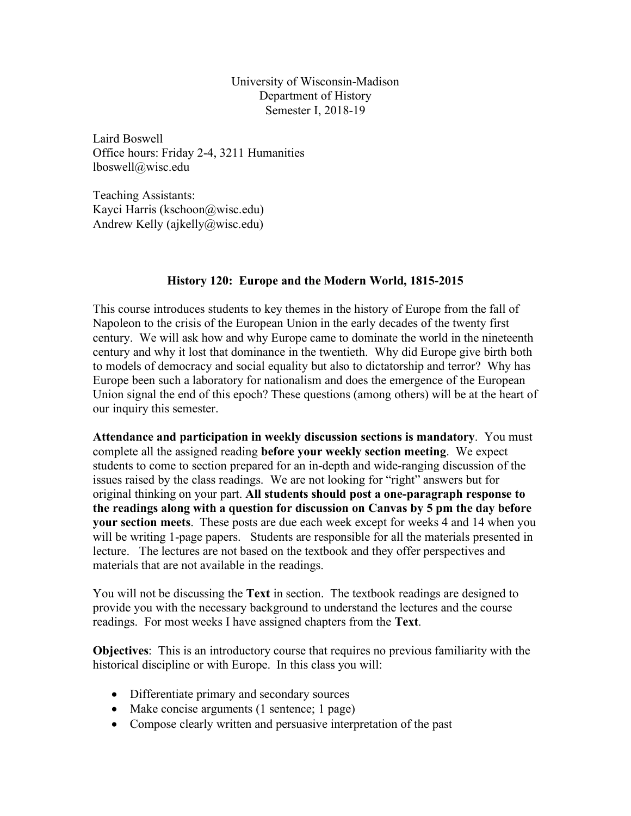University of Wisconsin-Madison Department of History Semester I, 2018-19

Laird Boswell Office hours: Friday 2-4, 3211 Humanities lboswell@wisc.edu

Teaching Assistants: Kayci Harris (kschoon@wisc.edu) Andrew Kelly (ajkelly@wisc.edu)

## **History 120: Europe and the Modern World, 1815-2015**

This course introduces students to key themes in the history of Europe from the fall of Napoleon to the crisis of the European Union in the early decades of the twenty first century. We will ask how and why Europe came to dominate the world in the nineteenth century and why it lost that dominance in the twentieth. Why did Europe give birth both to models of democracy and social equality but also to dictatorship and terror? Why has Europe been such a laboratory for nationalism and does the emergence of the European Union signal the end of this epoch? These questions (among others) will be at the heart of our inquiry this semester.

**Attendance and participation in weekly discussion sections is mandatory**. You must complete all the assigned reading **before your weekly section meeting**. We expect students to come to section prepared for an in-depth and wide-ranging discussion of the issues raised by the class readings. We are not looking for "right" answers but for original thinking on your part. **All students should post a one-paragraph response to the readings along with a question for discussion on Canvas by 5 pm the day before your section meets**. These posts are due each week except for weeks 4 and 14 when you will be writing 1-page papers. Students are responsible for all the materials presented in lecture. The lectures are not based on the textbook and they offer perspectives and materials that are not available in the readings.

You will not be discussing the **Text** in section. The textbook readings are designed to provide you with the necessary background to understand the lectures and the course readings. For most weeks I have assigned chapters from the **Text**.

**Objectives**: This is an introductory course that requires no previous familiarity with the historical discipline or with Europe. In this class you will:

- Differentiate primary and secondary sources
- Make concise arguments (1 sentence; 1 page)
- Compose clearly written and persuasive interpretation of the past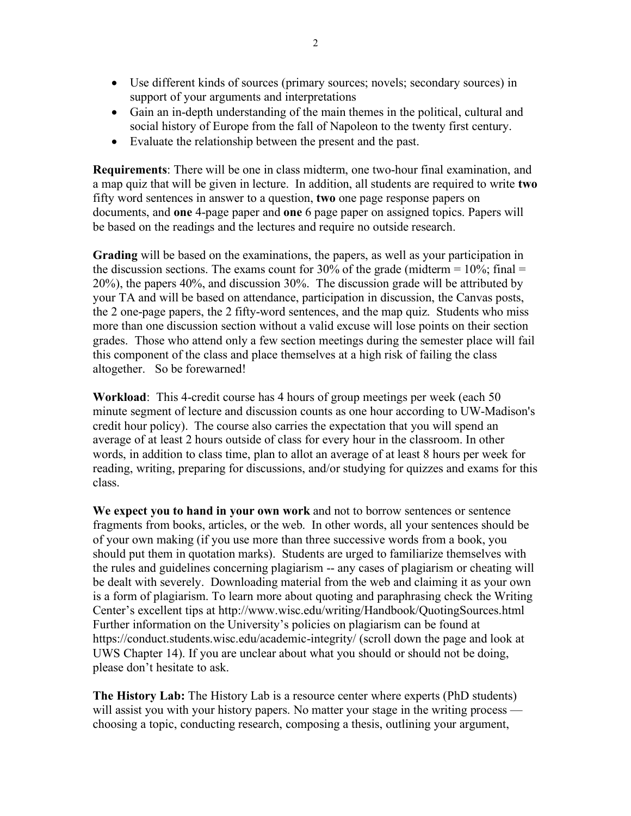- Use different kinds of sources (primary sources; novels; secondary sources) in support of your arguments and interpretations
- Gain an in-depth understanding of the main themes in the political, cultural and social history of Europe from the fall of Napoleon to the twenty first century.
- Evaluate the relationship between the present and the past.

**Requirements**: There will be one in class midterm, one two-hour final examination, and a map quiz that will be given in lecture. In addition, all students are required to write **two** fifty word sentences in answer to a question, **two** one page response papers on documents, and **one** 4-page paper and **one** 6 page paper on assigned topics. Papers will be based on the readings and the lectures and require no outside research.

**Grading** will be based on the examinations, the papers, as well as your participation in the discussion sections. The exams count for 30% of the grade (midterm  $= 10\%$ ; final  $=$ 20%), the papers 40%, and discussion 30%. The discussion grade will be attributed by your TA and will be based on attendance, participation in discussion, the Canvas posts, the 2 one-page papers, the 2 fifty-word sentences, and the map quiz. Students who miss more than one discussion section without a valid excuse will lose points on their section grades. Those who attend only a few section meetings during the semester place will fail this component of the class and place themselves at a high risk of failing the class altogether.So be forewarned!

**Workload**: This 4-credit course has 4 hours of group meetings per week (each 50 minute segment of lecture and discussion counts as one hour according to UW-Madison's credit hour policy). The course also carries the expectation that you will spend an average of at least 2 hours outside of class for every hour in the classroom. In other words, in addition to class time, plan to allot an average of at least 8 hours per week for reading, writing, preparing for discussions, and/or studying for quizzes and exams for this class.

**We expect you to hand in your own work** and not to borrow sentences or sentence fragments from books, articles, or the web. In other words, all your sentences should be of your own making (if you use more than three successive words from a book, you should put them in quotation marks). Students are urged to familiarize themselves with the rules and guidelines concerning plagiarism -- any cases of plagiarism or cheating will be dealt with severely. Downloading material from the web and claiming it as your own is a form of plagiarism. To learn more about quoting and paraphrasing check the Writing Center's excellent tips at http://www.wisc.edu/writing/Handbook/QuotingSources.html Further information on the University's policies on plagiarism can be found at https://conduct.students.wisc.edu/academic-integrity/ (scroll down the page and look at UWS Chapter 14). If you are unclear about what you should or should not be doing, please don't hesitate to ask.

**The History Lab:** The History Lab is a resource center where experts (PhD students) will assist you with your history papers. No matter your stage in the writing process choosing a topic, conducting research, composing a thesis, outlining your argument,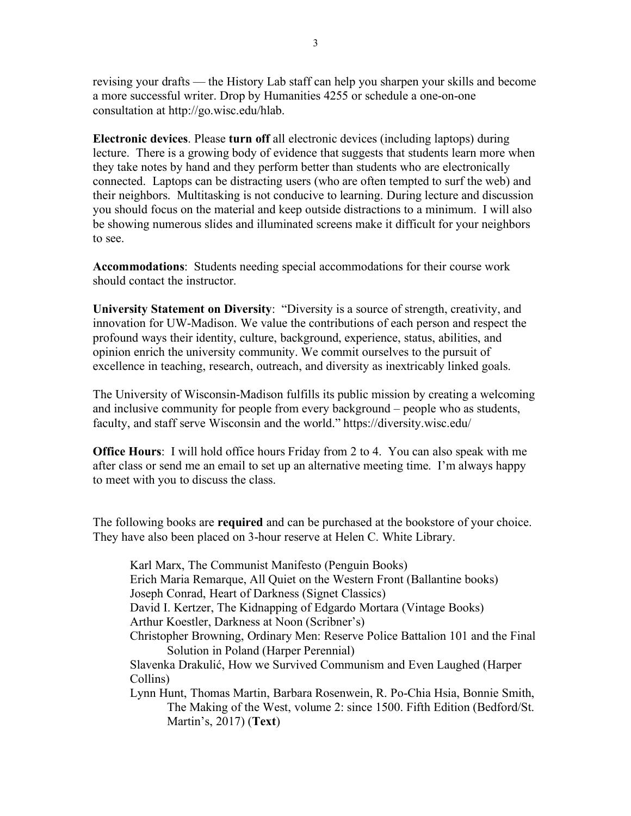revising your drafts — the History Lab staff can help you sharpen your skills and become a more successful writer. Drop by Humanities 4255 or schedule a one-on-one consultation at http://go.wisc.edu/hlab.

**Electronic devices**. Please **turn off** all electronic devices (including laptops) during lecture. There is a growing body of evidence that suggests that students learn more when they take notes by hand and they perform better than students who are electronically connected. Laptops can be distracting users (who are often tempted to surf the web) and their neighbors. Multitasking is not conducive to learning. During lecture and discussion you should focus on the material and keep outside distractions to a minimum. I will also be showing numerous slides and illuminated screens make it difficult for your neighbors to see.

**Accommodations**: Students needing special accommodations for their course work should contact the instructor.

**University Statement on Diversity**: "Diversity is a source of strength, creativity, and innovation for UW-Madison. We value the contributions of each person and respect the profound ways their identity, culture, background, experience, status, abilities, and opinion enrich the university community. We commit ourselves to the pursuit of excellence in teaching, research, outreach, and diversity as inextricably linked goals.

The University of Wisconsin-Madison fulfills its public mission by creating a welcoming and inclusive community for people from every background – people who as students, faculty, and staff serve Wisconsin and the world." https://diversity.wisc.edu/

**Office Hours**: I will hold office hours Friday from 2 to 4. You can also speak with me after class or send me an email to set up an alternative meeting time. I'm always happy to meet with you to discuss the class.

The following books are **required** and can be purchased at the bookstore of your choice. They have also been placed on 3-hour reserve at Helen C. White Library.

Karl Marx, The Communist Manifesto (Penguin Books) Erich Maria Remarque, All Quiet on the Western Front (Ballantine books) Joseph Conrad, Heart of Darkness (Signet Classics) David I. Kertzer, The Kidnapping of Edgardo Mortara (Vintage Books) Arthur Koestler, Darkness at Noon (Scribner's) Christopher Browning, Ordinary Men: Reserve Police Battalion 101 and the Final Solution in Poland (Harper Perennial) Slavenka Drakulić, How we Survived Communism and Even Laughed (Harper Collins) Lynn Hunt, Thomas Martin, Barbara Rosenwein, R. Po-Chia Hsia, Bonnie Smith, The Making of the West, volume 2: since 1500. Fifth Edition (Bedford/St. Martin's, 2017) (**Text**)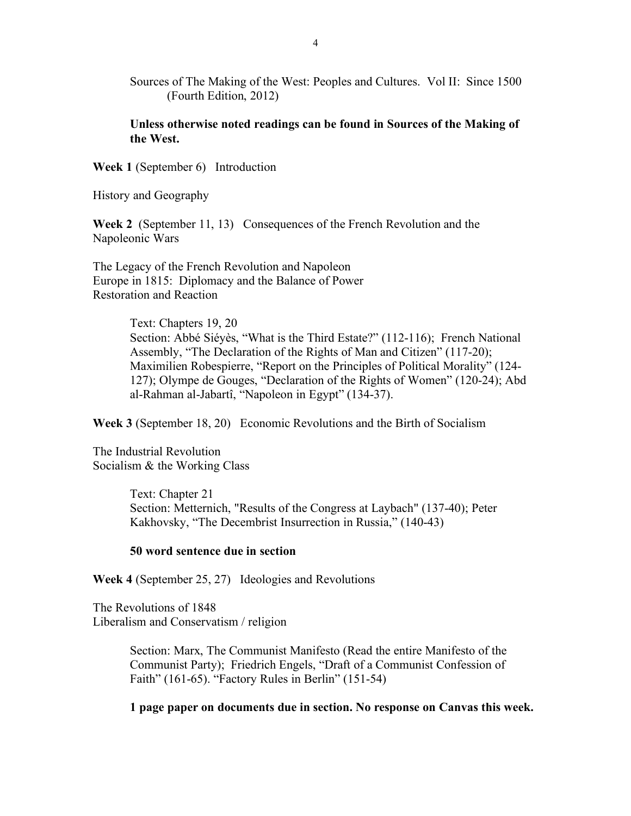Sources of The Making of the West: Peoples and Cultures. Vol II: Since 1500 (Fourth Edition, 2012)

**Unless otherwise noted readings can be found in Sources of the Making of the West.**

**Week 1** (September 6) Introduction

History and Geography

**Week 2** (September 11, 13) Consequences of the French Revolution and the Napoleonic Wars

The Legacy of the French Revolution and Napoleon Europe in 1815: Diplomacy and the Balance of Power Restoration and Reaction

> Text: Chapters 19, 20 Section: Abbé Siéyès, "What is the Third Estate?" (112-116); French National Assembly, "The Declaration of the Rights of Man and Citizen" (117-20); Maximilien Robespierre, "Report on the Principles of Political Morality" (124- 127); Olympe de Gouges, "Declaration of the Rights of Women" (120-24); Abd al-Rahman al-Jabartî, "Napoleon in Egypt" (134-37).

**Week 3** (September 18, 20) Economic Revolutions and the Birth of Socialism

The Industrial Revolution Socialism & the Working Class

> Text: Chapter 21 Section: Metternich, "Results of the Congress at Laybach" (137-40); Peter Kakhovsky, "The Decembrist Insurrection in Russia," (140-43)

### **50 word sentence due in section**

**Week 4** (September 25, 27) Ideologies and Revolutions

The Revolutions of 1848 Liberalism and Conservatism / religion

> Section: Marx, The Communist Manifesto (Read the entire Manifesto of the Communist Party); Friedrich Engels, "Draft of a Communist Confession of Faith" (161-65). "Factory Rules in Berlin" (151-54)

**1 page paper on documents due in section. No response on Canvas this week.**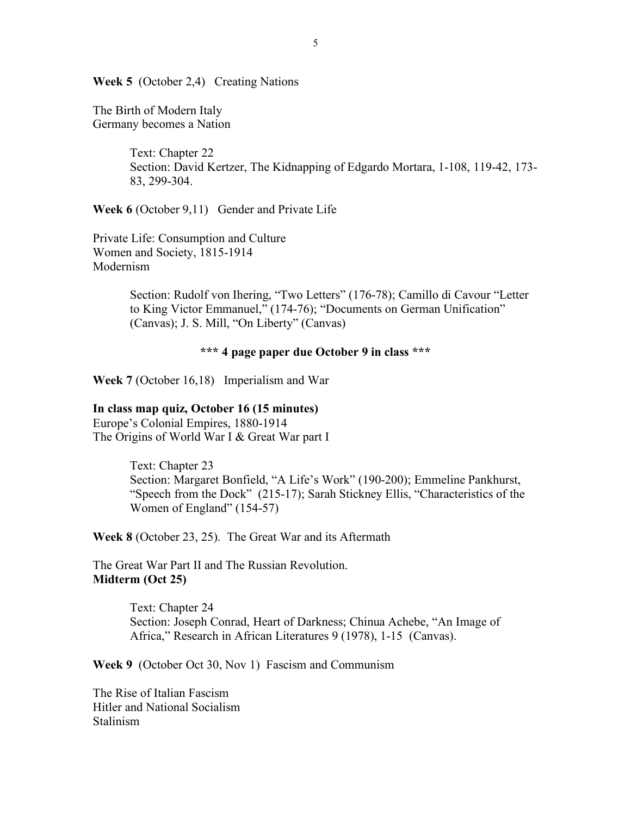**Week 5** (October 2,4) Creating Nations

The Birth of Modern Italy Germany becomes a Nation

> Text: Chapter 22 Section: David Kertzer, The Kidnapping of Edgardo Mortara, 1-108, 119-42, 173- 83, 299-304.

**Week 6** (October 9,11) Gender and Private Life

Private Life: Consumption and Culture Women and Society, 1815-1914 Modernism

> Section: Rudolf von Ihering, "Two Letters" (176-78); Camillo di Cavour "Letter to King Victor Emmanuel," (174-76); "Documents on German Unification" (Canvas); J. S. Mill, "On Liberty" (Canvas)

### **\*\*\* 4 page paper due October 9 in class \*\*\***

**Week 7** (October 16,18) Imperialism and War

#### **In class map quiz, October 16 (15 minutes)**

Europe's Colonial Empires, 1880-1914 The Origins of World War I & Great War part I

> Text: Chapter 23 Section: Margaret Bonfield, "A Life's Work" (190-200); Emmeline Pankhurst, "Speech from the Dock" (215-17); Sarah Stickney Ellis, "Characteristics of the Women of England" (154-57)

**Week 8** (October 23, 25). The Great War and its Aftermath

The Great War Part II and The Russian Revolution. **Midterm (Oct 25)**

> Text: Chapter 24 Section: Joseph Conrad, Heart of Darkness; Chinua Achebe, "An Image of Africa," Research in African Literatures 9 (1978), 1-15 (Canvas).

**Week 9** (October Oct 30, Nov 1) Fascism and Communism

The Rise of Italian Fascism Hitler and National Socialism Stalinism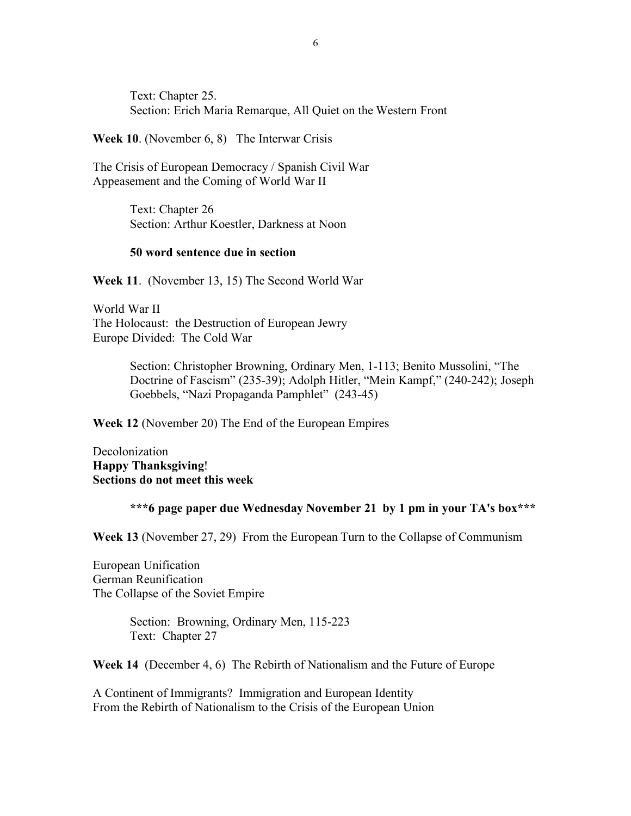Text: Chapter 25. Section: Erich Maria Remarque, All Quiet on the Western Front

**Week 10**. (November 6, 8) The Interwar Crisis

The Crisis of European Democracy / Spanish Civil War Appeasement and the Coming of World War II

> Text: Chapter 26 Section: Arthur Koestler, Darkness at Noon

#### **50 word sentence due in section**

**Week 11**. (November 13, 15) The Second World War

World War II The Holocaust: the Destruction of European Jewry Europe Divided: The Cold War

> Section: Christopher Browning, Ordinary Men, 1-113; Benito Mussolini, "The Doctrine of Fascism" (235-39); Adolph Hitler, "Mein Kampf," (240-242); Joseph Goebbels, "Nazi Propaganda Pamphlet" (243-45)

**Week 12** (November 20) The End of the European Empires

Decolonization **Happy Thanksgiving**! **Sections do not meet this week**

#### **\*\*\*6 page paper due Wednesday November 21 by 1 pm in your TA's box\*\*\***

**Week 13** (November 27, 29) From the European Turn to the Collapse of Communism

European Unification German Reunification The Collapse of the Soviet Empire

> Section: Browning, Ordinary Men, 115-223 Text: Chapter 27

**Week 14** (December 4, 6) The Rebirth of Nationalism and the Future of Europe

A Continent of Immigrants? Immigration and European Identity From the Rebirth of Nationalism to the Crisis of the European Union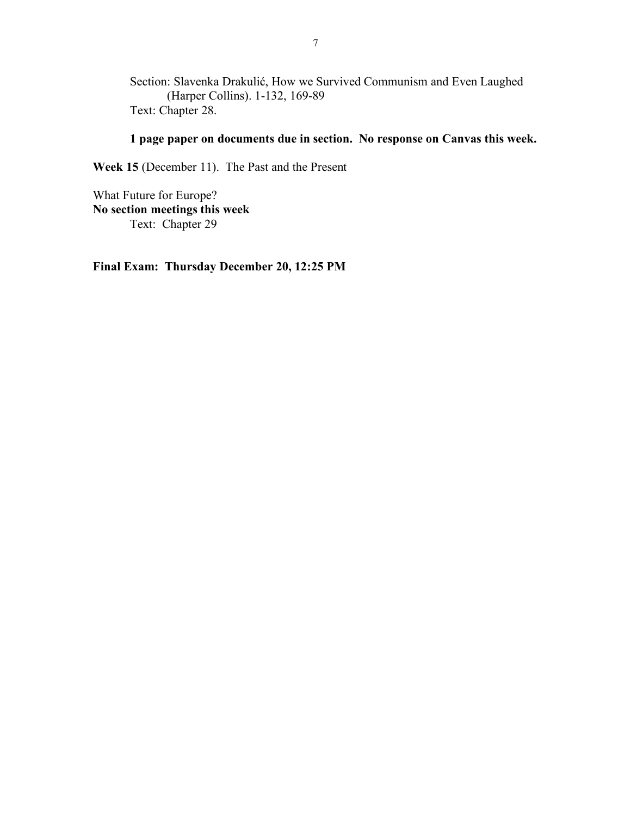Section: Slavenka Drakulić, How we Survived Communism and Even Laughed (Harper Collins). 1-132, 169-89 Text: Chapter 28.

# **1 page paper on documents due in section. No response on Canvas this week.**

**Week 15** (December 11). The Past and the Present

What Future for Europe? **No section meetings this week** Text: Chapter 29

**Final Exam: Thursday December 20, 12:25 PM**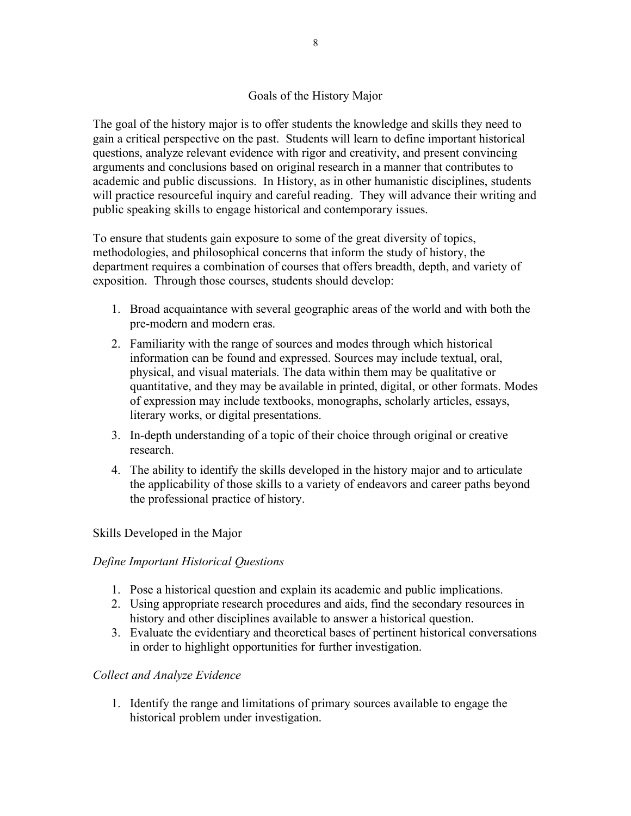# Goals of the History Major

The goal of the history major is to offer students the knowledge and skills they need to gain a critical perspective on the past. Students will learn to define important historical questions, analyze relevant evidence with rigor and creativity, and present convincing arguments and conclusions based on original research in a manner that contributes to academic and public discussions. In History, as in other humanistic disciplines, students will practice resourceful inquiry and careful reading. They will advance their writing and public speaking skills to engage historical and contemporary issues.

To ensure that students gain exposure to some of the great diversity of topics, methodologies, and philosophical concerns that inform the study of history, the department requires a combination of courses that offers breadth, depth, and variety of exposition. Through those courses, students should develop:

- 1. Broad acquaintance with several geographic areas of the world and with both the pre-modern and modern eras.
- 2. Familiarity with the range of sources and modes through which historical information can be found and expressed. Sources may include textual, oral, physical, and visual materials. The data within them may be qualitative or quantitative, and they may be available in printed, digital, or other formats. Modes of expression may include textbooks, monographs, scholarly articles, essays, literary works, or digital presentations.
- 3. In-depth understanding of a topic of their choice through original or creative research.
- 4. The ability to identify the skills developed in the history major and to articulate the applicability of those skills to a variety of endeavors and career paths beyond the professional practice of history.

# Skills Developed in the Major

# *Define Important Historical Questions*

- 1. Pose a historical question and explain its academic and public implications.
- 2. Using appropriate research procedures and aids, find the secondary resources in history and other disciplines available to answer a historical question.
- 3. Evaluate the evidentiary and theoretical bases of pertinent historical conversations in order to highlight opportunities for further investigation.

### *Collect and Analyze Evidence*

1. Identify the range and limitations of primary sources available to engage the historical problem under investigation.